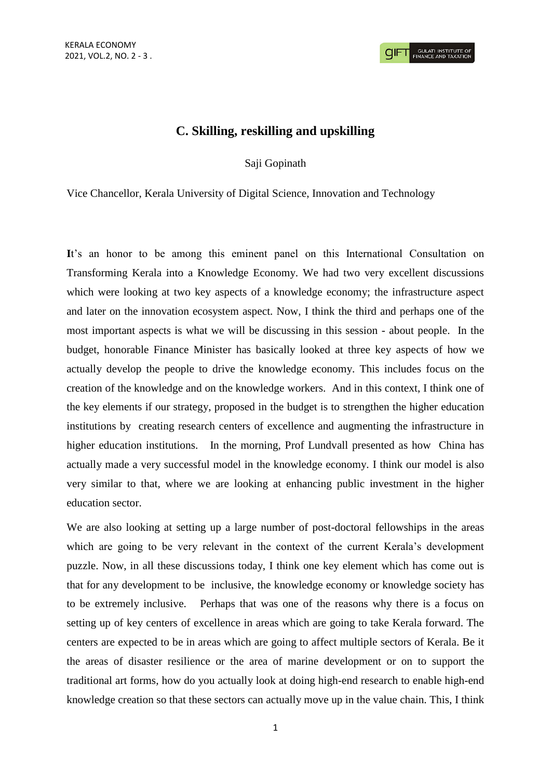## **C. Skilling, reskilling and upskilling**

Saji Gopinath

Vice Chancellor, Kerala University of Digital Science, Innovation and Technology

It's an honor to be among this eminent panel on this International Consultation on Transforming Kerala into a Knowledge Economy. We had two very excellent discussions which were looking at two key aspects of a knowledge economy; the infrastructure aspect and later on the innovation ecosystem aspect. Now, I think the third and perhaps one of the most important aspects is what we will be discussing in this session - about people. In the budget, honorable Finance Minister has basically looked at three key aspects of how we actually develop the people to drive the knowledge economy. This includes focus on the creation of the knowledge and on the knowledge workers. And in this context, I think one of the key elements if our strategy, proposed in the budget is to strengthen the higher education institutions by creating research centers of excellence and augmenting the infrastructure in higher education institutions. In the morning, Prof Lundvall presented as how China has actually made a very successful model in the knowledge economy. I think our model is also very similar to that, where we are looking at enhancing public investment in the higher education sector.

We are also looking at setting up a large number of post-doctoral fellowships in the areas which are going to be very relevant in the context of the current Kerala's development puzzle. Now, in all these discussions today, I think one key element which has come out is that for any development to be inclusive, the knowledge economy or knowledge society has to be extremely inclusive. Perhaps that was one of the reasons why there is a focus on setting up of key centers of excellence in areas which are going to take Kerala forward. The centers are expected to be in areas which are going to affect multiple sectors of Kerala. Be it the areas of disaster resilience or the area of marine development or on to support the traditional art forms, how do you actually look at doing high-end research to enable high-end knowledge creation so that these sectors can actually move up in the value chain. This, I think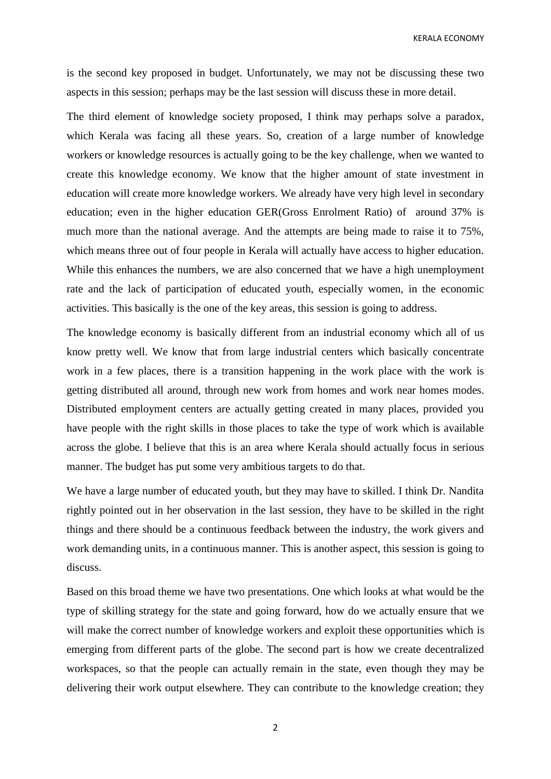KERALA ECONOMY

is the second key proposed in budget. Unfortunately, we may not be discussing these two aspects in this session; perhaps may be the last session will discuss these in more detail.

The third element of knowledge society proposed, I think may perhaps solve a paradox, which Kerala was facing all these years. So, creation of a large number of knowledge workers or knowledge resources is actually going to be the key challenge, when we wanted to create this knowledge economy. We know that the higher amount of state investment in education will create more knowledge workers. We already have very high level in secondary education; even in the higher education GER(Gross Enrolment Ratio) of around 37% is much more than the national average. And the attempts are being made to raise it to 75%, which means three out of four people in Kerala will actually have access to higher education. While this enhances the numbers, we are also concerned that we have a high unemployment rate and the lack of participation of educated youth, especially women, in the economic activities. This basically is the one of the key areas, this session is going to address.

The knowledge economy is basically different from an industrial economy which all of us know pretty well. We know that from large industrial centers which basically concentrate work in a few places, there is a transition happening in the work place with the work is getting distributed all around, through new work from homes and work near homes modes. Distributed employment centers are actually getting created in many places, provided you have people with the right skills in those places to take the type of work which is available across the globe. I believe that this is an area where Kerala should actually focus in serious manner. The budget has put some very ambitious targets to do that.

We have a large number of educated youth, but they may have to skilled. I think Dr. Nandita rightly pointed out in her observation in the last session, they have to be skilled in the right things and there should be a continuous feedback between the industry, the work givers and work demanding units, in a continuous manner. This is another aspect, this session is going to discuss.

Based on this broad theme we have two presentations. One which looks at what would be the type of skilling strategy for the state and going forward, how do we actually ensure that we will make the correct number of knowledge workers and exploit these opportunities which is emerging from different parts of the globe. The second part is how we create decentralized workspaces, so that the people can actually remain in the state, even though they may be delivering their work output elsewhere. They can contribute to the knowledge creation; they